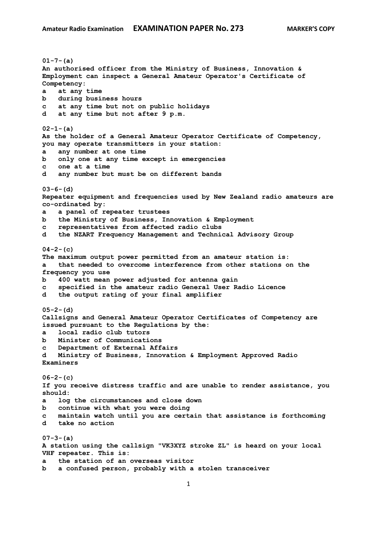**01-7-(a) An authorised officer from the Ministry of Business, Innovation & Employment can inspect a General Amateur Operator's Certificate of Competency: a at any time b during business hours c at any time but not on public holidays d at any time but not after 9 p.m. 02-1-(a) As the holder of a General Amateur Operator Certificate of Competency, you may operate transmitters in your station: a any number at one time b only one at any time except in emergencies c one at a time d any number but must be on different bands 03-6-(d) Repeater equipment and frequencies used by New Zealand radio amateurs are co-ordinated by: a a panel of repeater trustees b the Ministry of Business, Innovation & Employment c representatives from affected radio clubs d the NZART Frequency Management and Technical Advisory Group 04-2-(c) The maximum output power permitted from an amateur station is: a that needed to overcome interference from other stations on the frequency you use b 400 watt mean power adjusted for antenna gain c specified in the amateur radio General User Radio Licence d the output rating of your final amplifier 05-2-(d) Callsigns and General Amateur Operator Certificates of Competency are issued pursuant to the Regulations by the: a local radio club tutors b Minister of Communications c Department of External Affairs d Ministry of Business, Innovation & Employment Approved Radio Examiners 06-2-(c) If you receive distress traffic and are unable to render assistance, you should: a log the circumstances and close down b continue with what you were doing c maintain watch until you are certain that assistance is forthcoming d take no action 07-3-(a) A station using the callsign "VK3XYZ stroke ZL" is heard on your local VHF repeater. This is: a the station of an overseas visitor b a confused person, probably with a stolen transceiver**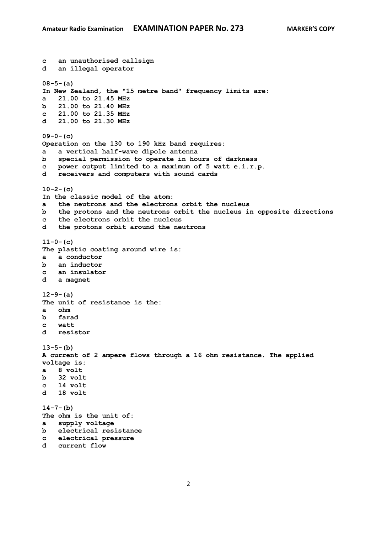```
c an unauthorised callsign
d an illegal operator
08-5-(a)
In New Zealand, the "15 metre band" frequency limits are:
a 21.00 to 21.45 MHz
b 21.00 to 21.40 MHz
c 21.00 to 21.35 MHz
d 21.00 to 21.30 MHz
09-0-(c)
Operation on the 130 to 190 kHz band requires:
a a vertical half-wave dipole antenna
b special permission to operate in hours of darkness
c power output limited to a maximum of 5 watt e.i.r.p.
    d receivers and computers with sound cards
10-2-(c)
In the classic model of the atom:
a the neutrons and the electrons orbit the nucleus
b the protons and the neutrons orbit the nucleus in opposite directions
c the electrons orbit the nucleus
d the protons orbit around the neutrons
11-0-(c)
The plastic coating around wire is:
a a conductor
b an inductor 
c an insulator
d a magnet
12-9-(a)
The unit of resistance is the:
a ohm
b farad
c watt
d resistor
13-5-(b)
A current of 2 ampere flows through a 16 ohm resistance. The applied 
voltage is:
a 8 volt
b 32 volt
c 14 volt 
d 18 volt 
14-7-(b)
The ohm is the unit of:
a supply voltage
b electrical resistance
c electrical pressure
d current flow
```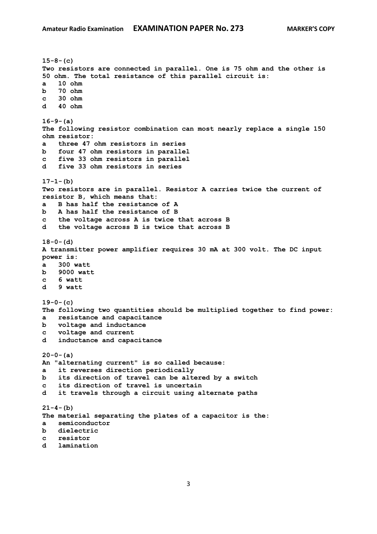```
15-8-(c)
Two resistors are connected in parallel. One is 75 ohm and the other is 
50 ohm. The total resistance of this parallel circuit is:
a 10 ohm
b 70 ohm 
c 30 ohm 
d 40 ohm 
16-9-(a)
The following resistor combination can most nearly replace a single 150 
ohm resistor:
a three 47 ohm resistors in series
b four 47 ohm resistors in parallel
c five 33 ohm resistors in parallel 
d five 33 ohm resistors in series
17-1-(b)
Two resistors are in parallel. Resistor A carries twice the current of 
resistor B, which means that:
a B has half the resistance of A
b A has half the resistance of B 
c the voltage across A is twice that across B
d the voltage across B is twice that across B 
18-0-(d)
A transmitter power amplifier requires 30 mA at 300 volt. The DC input 
power is:
a 300 watt
b 9000 watt
c 6 watt
d 9 watt 
19-0-(c)
The following two quantities should be multiplied together to find power:
a resistance and capacitance
b voltage and inductance
c voltage and current
d inductance and capacitance
20-0-(a)
An "alternating current" is so called because:
a it reverses direction periodically
b its direction of travel can be altered by a switch
c its direction of travel is uncertain
d it travels through a circuit using alternate paths
21-4-(b)
The material separating the plates of a capacitor is the:
a semiconductor
b dielectric
c resistor
d lamination
```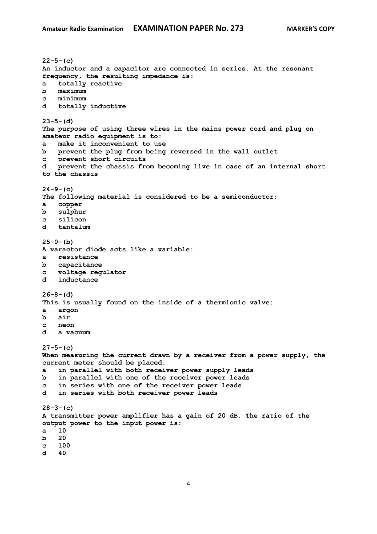**22-5-(c) An inductor and a capacitor are connected in series. At the resonant frequency, the resulting impedance is: a totally reactive b maximum c minimum d totally inductive 23-5-(d) The purpose of using three wires in the mains power cord and plug on amateur radio equipment is to: a make it inconvenient to use b prevent the plug from being reversed in the wall outlet c prevent short circuits d prevent the chassis from becoming live in case of an internal short to the chassis 24-9-(c) The following material is considered to be a semiconductor: a copper b sulphur c silicon d tantalum 25-0-(b) A varactor diode acts like a variable: a resistance b capacitance c voltage regulator d inductance 26-8-(d) This is usually found on the inside of a thermionic valve: a argon b air c neon d a vacuum 27-5-(c) When measuring the current drawn by a receiver from a power supply, the current meter should be placed: a in parallel with both receiver power supply leads b in parallel with one of the receiver power leads c in series with one of the receiver power leads d in series with both receiver power leads 28-3-(c) A transmitter power amplifier has a gain of 20 dB. The ratio of the output power to the input power is: a 10 b 20 c 100**

**d 40**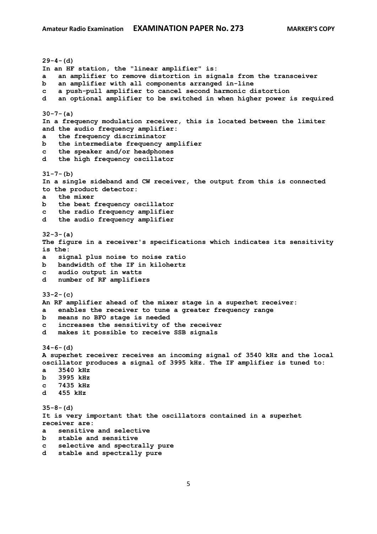**29-4-(d) In an HF station, the "linear amplifier" is: a an amplifier to remove distortion in signals from the transceiver b an amplifier with all components arranged in-line c a push-pull amplifier to cancel second harmonic distortion d an optional amplifier to be switched in when higher power is required 30-7-(a) In a frequency modulation receiver, this is located between the limiter and the audio frequency amplifier: a the frequency discriminator b the intermediate frequency amplifier c the speaker and/or headphones d the high frequency oscillator 31-7-(b) In a single sideband and CW receiver, the output from this is connected to the product detector: a the mixer b the beat frequency oscillator c the radio frequency amplifier d the audio frequency amplifier 32-3-(a) The figure in a receiver's specifications which indicates its sensitivity is the: a signal plus noise to noise ratio b bandwidth of the IF in kilohertz c audio output in watts d number of RF amplifiers 33-2-(c) An RF amplifier ahead of the mixer stage in a superhet receiver: a enables the receiver to tune a greater frequency range b means no BFO stage is needed c increases the sensitivity of the receiver d makes it possible to receive SSB signals 34-6-(d) A superhet receiver receives an incoming signal of 3540 kHz and the local oscillator produces a signal of 3995 kHz. The IF amplifier is tuned to: a 3540 kHz b 3995 kHz c 7435 kHz d 455 kHz 35-8-(d) It is very important that the oscillators contained in a superhet receiver are: a sensitive and selective b stable and sensitive c selective and spectrally pure d stable and spectrally pure**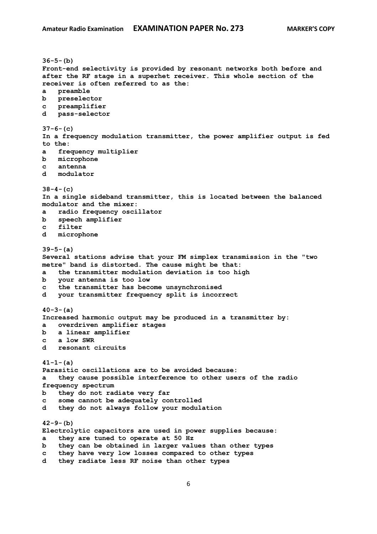```
36-5-(b)
Front-end selectivity is provided by resonant networks both before and 
after the RF stage in a superhet receiver. This whole section of the 
receiver is often referred to as the:
a preamble
b preselector
c preamplifier
d pass-selector
37-6-(c)
In a frequency modulation transmitter, the power amplifier output is fed 
to the:
a frequency multiplier
b microphone
c antenna
d modulator
38-4-(c)
In a single sideband transmitter, this is located between the balanced 
modulator and the mixer:
a radio frequency oscillator
b speech amplifier
c filter
d microphone
39-5-(a)
Several stations advise that your FM simplex transmission in the "two 
metre" band is distorted. The cause might be that:
a the transmitter modulation deviation is too high
b your antenna is too low
c the transmitter has become unsynchronised
d your transmitter frequency split is incorrect
40-3-(a)
Increased harmonic output may be produced in a transmitter by:
a overdriven amplifier stages
b a linear amplifier
c a low SWR
d resonant circuits
41-1-(a)
Parasitic oscillations are to be avoided because:
a they cause possible interference to other users of the radio 
frequency spectrum
b they do not radiate very far
c some cannot be adequately controlled
d they do not always follow your modulation
42-9-(b)
Electrolytic capacitors are used in power supplies because:
a they are tuned to operate at 50 Hz
b they can be obtained in larger values than other types
c they have very low losses compared to other types
d they radiate less RF noise than other types
```
6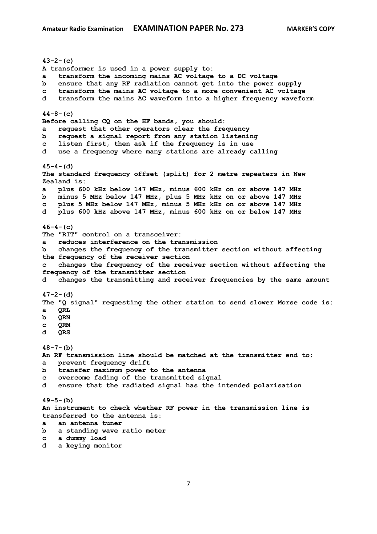**43-2-(c) A transformer is used in a power supply to: a transform the incoming mains AC voltage to a DC voltage b ensure that any RF radiation cannot get into the power supply c transform the mains AC voltage to a more convenient AC voltage d transform the mains AC waveform into a higher frequency waveform 44-8-(c) Before calling CQ on the HF bands, you should: a request that other operators clear the frequency b request a signal report from any station listening c listen first, then ask if the frequency is in use d use a frequency where many stations are already calling 45-4-(d) The standard frequency offset (split) for 2 metre repeaters in New Zealand is: a plus 600 kHz below 147 MHz, minus 600 kHz on or above 147 MHz b minus 5 MHz below 147 MHz, plus 5 MHz kHz on or above 147 MHz c plus 5 MHz below 147 MHz, minus 5 MHz kHz on or above 147 MHz d plus 600 kHz above 147 MHz, minus 600 kHz on or below 147 MHz 46-4-(c) The "RIT" control on a transceiver: a reduces interference on the transmission b changes the frequency of the transmitter section without affecting the frequency of the receiver section c changes the frequency of the receiver section without affecting the frequency of the transmitter section d changes the transmitting and receiver frequencies by the same amount 47-2-(d) The "Q signal" requesting the other station to send slower Morse code is: a QRL b QRN c QRM d QRS 48-7-(b) An RF transmission line should be matched at the transmitter end to: a prevent frequency drift b transfer maximum power to the antenna c overcome fading of the transmitted signal d ensure that the radiated signal has the intended polarisation 49-5-(b) An instrument to check whether RF power in the transmission line is transferred to the antenna is: a an antenna tuner b a standing wave ratio meter c a dummy load**

**d a keying monitor**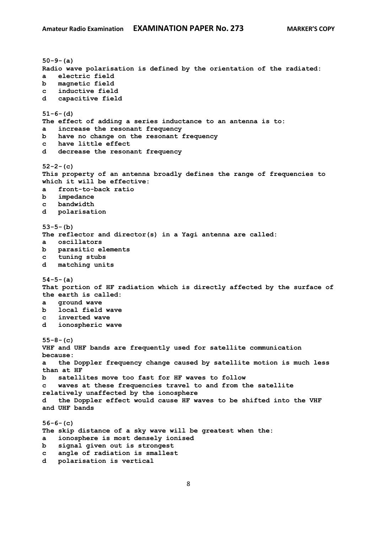**50-9-(a) Radio wave polarisation is defined by the orientation of the radiated: a electric field b magnetic field c inductive field d capacitive field 51-6-(d) The effect of adding a series inductance to an antenna is to: a increase the resonant frequency b have no change on the resonant frequency c have little effect d decrease the resonant frequency 52-2-(c) This property of an antenna broadly defines the range of frequencies to which it will be effective: a front-to-back ratio b impedance c bandwidth d polarisation 53-5-(b) The reflector and director(s) in a Yagi antenna are called: a oscillators b parasitic elements c tuning stubs d matching units 54-5-(a) That portion of HF radiation which is directly affected by the surface of the earth is called: a ground wave b local field wave c inverted wave d ionospheric wave 55-8-(c) VHF and UHF bands are frequently used for satellite communication because: a the Doppler frequency change caused by satellite motion is much less than at HF b satellites move too fast for HF waves to follow c waves at these frequencies travel to and from the satellite relatively unaffected by the ionosphere d the Doppler effect would cause HF waves to be shifted into the VHF and UHF bands 56-6-(c) The skip distance of a sky wave will be greatest when the: a ionosphere is most densely ionised b signal given out is strongest c angle of radiation is smallest d polarisation is vertical**